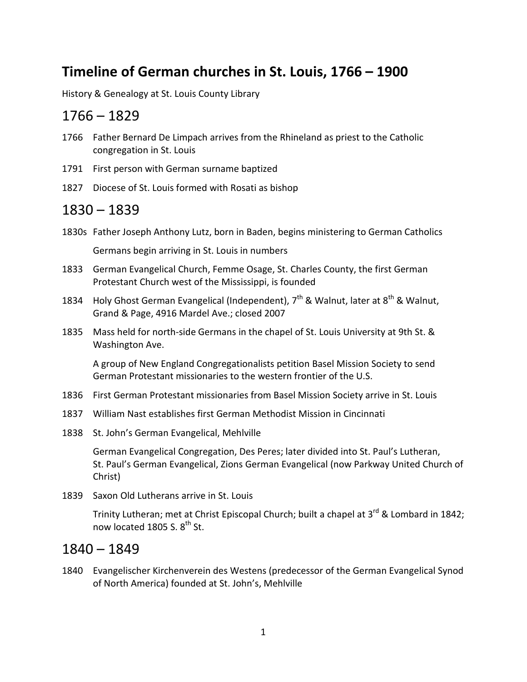# **Timeline of German churches in St. Louis, 1766 – 1900**

History & Genealogy at St. Louis County Library

### 1766 – 1829

- 1766 Father Bernard De Limpach arrives from the Rhineland as priest to the Catholic congregation in St. Louis
- 1791 First person with German surname baptized
- 1827 Diocese of St. Louis formed with Rosati as bishop

## 1830 – 1839

- 1830s Father Joseph Anthony Lutz, born in Baden, begins ministering to German Catholics Germans begin arriving in St. Louis in numbers
- 1833 German Evangelical Church, Femme Osage, St. Charles County, the first German Protestant Church west of the Mississippi, is founded
- 1834 Holy Ghost German Evangelical (Independent),  $7<sup>th</sup>$  & Walnut, later at 8<sup>th</sup> & Walnut, Grand & Page, 4916 Mardel Ave.; closed 2007
- 1835 Mass held for north-side Germans in the chapel of St. Louis University at 9th St. & Washington Ave.

A group of New England Congregationalists petition Basel Mission Society to send German Protestant missionaries to the western frontier of the U.S.

- 1836 First German Protestant missionaries from Basel Mission Society arrive in St. Louis
- 1837 William Nast establishes first German Methodist Mission in Cincinnati
- 1838 St. John's German Evangelical, Mehlville

German Evangelical Congregation, Des Peres; later divided into St. Paul's Lutheran, St. Paul's German Evangelical, Zions German Evangelical (now Parkway United Church of Christ)

1839 Saxon Old Lutherans arrive in St. Louis

Trinity Lutheran; met at Christ Episcopal Church; built a chapel at 3<sup>rd</sup> & Lombard in 1842; now located 1805 S.  $8^{th}$  St.

### 1840 – 1849

1840 Evangelischer Kirchenverein des Westens (predecessor of the German Evangelical Synod of North America) founded at St. John's, Mehlville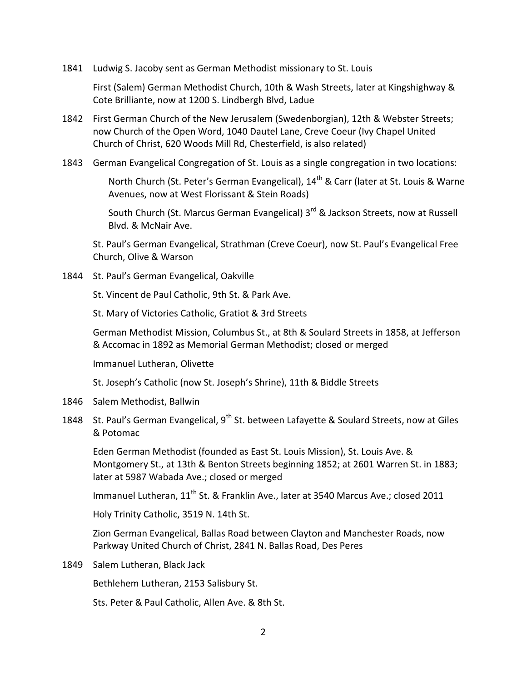1841 Ludwig S. Jacoby sent as German Methodist missionary to St. Louis

First (Salem) German Methodist Church, 10th & Wash Streets, later at Kingshighway & Cote Brilliante, now at 1200 S. Lindbergh Blvd, Ladue

- 1842 First German Church of the New Jerusalem (Swedenborgian), 12th & Webster Streets; now Church of the Open Word, 1040 Dautel Lane, Creve Coeur (Ivy Chapel United Church of Christ, 620 Woods Mill Rd, Chesterfield, is also related)
- 1843 German Evangelical Congregation of St. Louis as a single congregation in two locations:

North Church (St. Peter's German Evangelical), 14<sup>th</sup> & Carr (later at St. Louis & Warne Avenues, now at West Florissant & Stein Roads)

South Church (St. Marcus German Evangelical) 3<sup>rd</sup> & Jackson Streets, now at Russell Blvd. & McNair Ave.

St. Paul's German Evangelical, Strathman (Creve Coeur), now St. Paul's Evangelical Free Church, Olive & Warson

1844 St. Paul's German Evangelical, Oakville

St. Vincent de Paul Catholic, 9th St. & Park Ave.

St. Mary of Victories Catholic, Gratiot & 3rd Streets

German Methodist Mission, Columbus St., at 8th & Soulard Streets in 1858, at Jefferson & Accomac in 1892 as Memorial German Methodist; closed or merged

Immanuel Lutheran, Olivette

St. Joseph's Catholic (now St. Joseph's Shrine), 11th & Biddle Streets

- 1846 Salem Methodist, Ballwin
- 1848 St. Paul's German Evangelical, 9<sup>th</sup> St. between Lafayette & Soulard Streets, now at Giles & Potomac

Eden German Methodist (founded as East St. Louis Mission), St. Louis Ave. & Montgomery St., at 13th & Benton Streets beginning 1852; at 2601 Warren St. in 1883; later at 5987 Wabada Ave.; closed or merged

Immanuel Lutheran, 11<sup>th</sup> St. & Franklin Ave., later at 3540 Marcus Ave.; closed 2011

Holy Trinity Catholic, 3519 N. 14th St.

Zion German Evangelical, Ballas Road between Clayton and Manchester Roads, now Parkway United Church of Christ, 2841 N. Ballas Road, Des Peres

1849 Salem Lutheran, Black Jack

Bethlehem Lutheran, 2153 Salisbury St.

Sts. Peter & Paul Catholic, Allen Ave. & 8th St.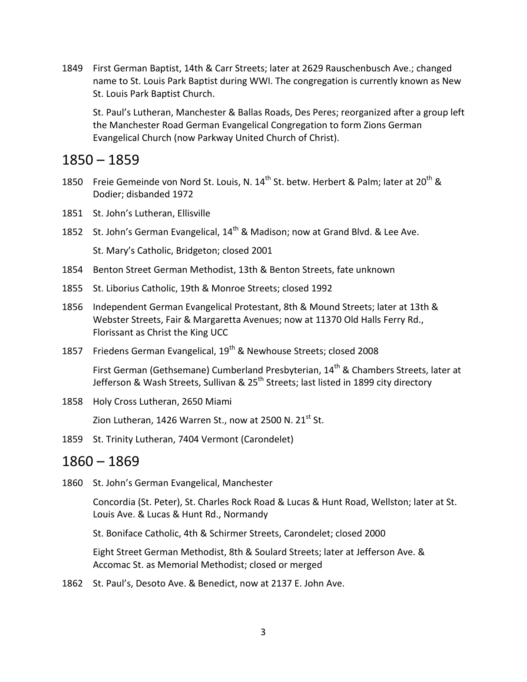1849 First German Baptist, 14th & Carr Streets; later at 2629 Rauschenbusch Ave.; changed name to St. Louis Park Baptist during WWI. The congregation is currently known as New St. Louis Park Baptist Church.

St. Paul's Lutheran, Manchester & Ballas Roads, Des Peres; reorganized after a group left the Manchester Road German Evangelical Congregation to form Zions German Evangelical Church (now Parkway United Church of Christ).

## 1850 – 1859

- 1850 Freie Gemeinde von Nord St. Louis, N. 14<sup>th</sup> St. betw. Herbert & Palm; later at 20<sup>th</sup> & Dodier; disbanded 1972
- 1851 St. John's Lutheran, Ellisville
- 1852 St. John's German Evangelical, 14<sup>th</sup> & Madison; now at Grand Blvd. & Lee Ave. St. Mary's Catholic, Bridgeton; closed 2001
- 1854 Benton Street German Methodist, 13th & Benton Streets, fate unknown
- 1855 St. Liborius Catholic, 19th & Monroe Streets; closed 1992
- 1856 Independent German Evangelical Protestant, 8th & Mound Streets; later at 13th & Webster Streets, Fair & Margaretta Avenues; now at 11370 Old Halls Ferry Rd., Florissant as Christ the King UCC
- 1857 Friedens German Evangelical, 19<sup>th</sup> & Newhouse Streets; closed 2008

First German (Gethsemane) Cumberland Presbyterian, 14<sup>th</sup> & Chambers Streets, later at Jefferson & Wash Streets, Sullivan & 25<sup>th</sup> Streets; last listed in 1899 city directory

1858 Holy Cross Lutheran, 2650 Miami

Zion Lutheran, 1426 Warren St., now at 2500 N.  $21^{st}$  St.

1859 St. Trinity Lutheran, 7404 Vermont (Carondelet)

#### 1860 – 1869

1860 St. John's German Evangelical, Manchester

Concordia (St. Peter), St. Charles Rock Road & Lucas & Hunt Road, Wellston; later at St. Louis Ave. & Lucas & Hunt Rd., Normandy

St. Boniface Catholic, 4th & Schirmer Streets, Carondelet; closed 2000

Eight Street German Methodist, 8th & Soulard Streets; later at Jefferson Ave. & Accomac St. as Memorial Methodist; closed or merged

1862 St. Paul's, Desoto Ave. & Benedict, now at 2137 E. John Ave.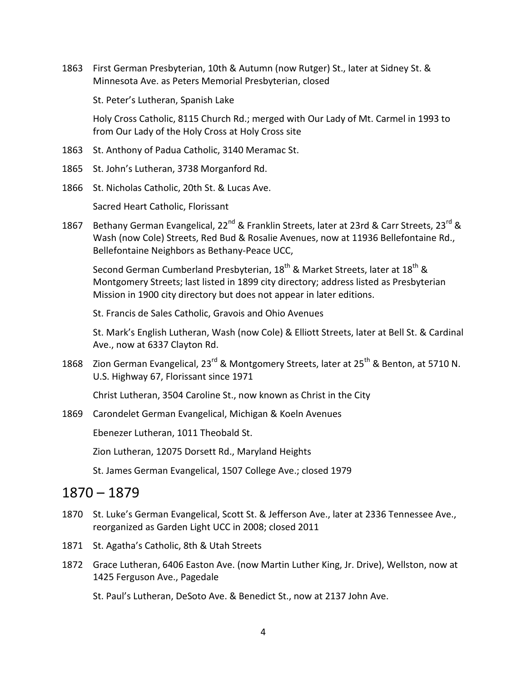1863 First German Presbyterian, 10th & Autumn (now Rutger) St., later at Sidney St. & Minnesota Ave. as Peters Memorial Presbyterian, closed

St. Peter's Lutheran, Spanish Lake

Holy Cross Catholic, 8115 Church Rd.; merged with Our Lady of Mt. Carmel in 1993 to from Our Lady of the Holy Cross at Holy Cross site

- 1863 St. Anthony of Padua Catholic, 3140 Meramac St.
- 1865 St. John's Lutheran, 3738 Morganford Rd.
- 1866 St. Nicholas Catholic, 20th St. & Lucas Ave.

Sacred Heart Catholic, Florissant

1867 Bethany German Evangelical, 22<sup>nd</sup> & Franklin Streets, later at 23rd & Carr Streets, 23<sup>rd</sup> & Wash (now Cole) Streets, Red Bud & Rosalie Avenues, now at 11936 Bellefontaine Rd., Bellefontaine Neighbors as Bethany-Peace UCC,

Second German Cumberland Presbyterian, 18<sup>th</sup> & Market Streets, later at 18<sup>th</sup> & Montgomery Streets; last listed in 1899 city directory; address listed as Presbyterian Mission in 1900 city directory but does not appear in later editions.

St. Francis de Sales Catholic, Gravois and Ohio Avenues

St. Mark's English Lutheran, Wash (now Cole) & Elliott Streets, later at Bell St. & Cardinal Ave., now at 6337 Clayton Rd.

1868 Zion German Evangelical, 23<sup>rd</sup> & Montgomery Streets, later at 25<sup>th</sup> & Benton, at 5710 N. U.S. Highway 67, Florissant since 1971

Christ Lutheran, 3504 Caroline St., now known as Christ in the City

1869 Carondelet German Evangelical, Michigan & Koeln Avenues

Ebenezer Lutheran, 1011 Theobald St.

Zion Lutheran, 12075 Dorsett Rd., Maryland Heights

St. James German Evangelical, 1507 College Ave.; closed 1979

### 1870 – 1879

- 1870 St. Luke's German Evangelical, Scott St. & Jefferson Ave., later at 2336 Tennessee Ave., reorganized as Garden Light UCC in 2008; closed 2011
- 1871 St. Agatha's Catholic, 8th & Utah Streets
- 1872 Grace Lutheran, 6406 Easton Ave. (now Martin Luther King, Jr. Drive), Wellston, now at 1425 Ferguson Ave., Pagedale

St. Paul's Lutheran, DeSoto Ave. & Benedict St., now at 2137 John Ave.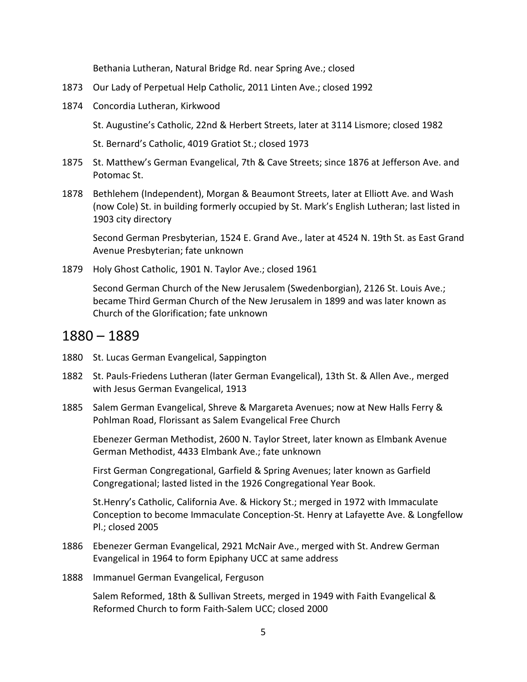Bethania Lutheran, Natural Bridge Rd. near Spring Ave.; closed

- 1873 Our Lady of Perpetual Help Catholic, 2011 Linten Ave.; closed 1992
- 1874 Concordia Lutheran, Kirkwood

St. Augustine's Catholic, 22nd & Herbert Streets, later at 3114 Lismore; closed 1982

St. Bernard's Catholic, 4019 Gratiot St.; closed 1973

- 1875 St. Matthew's German Evangelical, 7th & Cave Streets; since 1876 at Jefferson Ave. and Potomac St.
- 1878 Bethlehem (Independent), Morgan & Beaumont Streets, later at Elliott Ave. and Wash (now Cole) St. in building formerly occupied by St. Mark's English Lutheran; last listed in 1903 city directory

Second German Presbyterian, 1524 E. Grand Ave., later at 4524 N. 19th St. as East Grand Avenue Presbyterian; fate unknown

1879 Holy Ghost Catholic, 1901 N. Taylor Ave.; closed 1961

Second German Church of the New Jerusalem (Swedenborgian), 2126 St. Louis Ave.; became Third German Church of the New Jerusalem in 1899 and was later known as Church of the Glorification; fate unknown

#### 1880 – 1889

- 1880 St. Lucas German Evangelical, Sappington
- 1882 St. Pauls-Friedens Lutheran (later German Evangelical), 13th St. & Allen Ave., merged with Jesus German Evangelical, 1913
- 1885 Salem German Evangelical, Shreve & Margareta Avenues; now at New Halls Ferry & Pohlman Road, Florissant as Salem Evangelical Free Church

Ebenezer German Methodist, 2600 N. Taylor Street, later known as Elmbank Avenue German Methodist, 4433 Elmbank Ave.; fate unknown

First German Congregational, Garfield & Spring Avenues; later known as Garfield Congregational; lasted listed in the 1926 Congregational Year Book.

St.Henry's Catholic, California Ave. & Hickory St.; merged in 1972 with Immaculate Conception to become Immaculate Conception-St. Henry at Lafayette Ave. & Longfellow Pl.; closed 2005

- 1886 Ebenezer German Evangelical, 2921 McNair Ave., merged with St. Andrew German Evangelical in 1964 to form Epiphany UCC at same address
- 1888 Immanuel German Evangelical, Ferguson

Salem Reformed, 18th & Sullivan Streets, merged in 1949 with Faith Evangelical & Reformed Church to form Faith-Salem UCC; closed 2000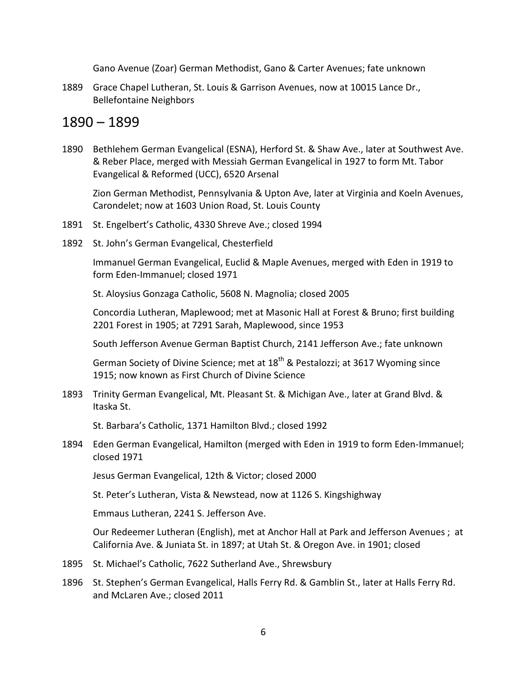Gano Avenue (Zoar) German Methodist, Gano & Carter Avenues; fate unknown

1889 Grace Chapel Lutheran, St. Louis & Garrison Avenues, now at 10015 Lance Dr., Bellefontaine Neighbors

### 1890 – 1899

1890 Bethlehem German Evangelical (ESNA), Herford St. & Shaw Ave., later at Southwest Ave. & Reber Place, merged with Messiah German Evangelical in 1927 to form Mt. Tabor Evangelical & Reformed (UCC), 6520 Arsenal

Zion German Methodist, Pennsylvania & Upton Ave, later at Virginia and Koeln Avenues, Carondelet; now at 1603 Union Road, St. Louis County

- 1891 St. Engelbert's Catholic, 4330 Shreve Ave.; closed 1994
- 1892 St. John's German Evangelical, Chesterfield

Immanuel German Evangelical, Euclid & Maple Avenues, merged with Eden in 1919 to form Eden-Immanuel; closed 1971

St. Aloysius Gonzaga Catholic, 5608 N. Magnolia; closed 2005

Concordia Lutheran, Maplewood; met at Masonic Hall at Forest & Bruno; first building 2201 Forest in 1905; at 7291 Sarah, Maplewood, since 1953

South Jefferson Avenue German Baptist Church, 2141 Jefferson Ave.; fate unknown

German Society of Divine Science; met at 18<sup>th</sup> & Pestalozzi; at 3617 Wyoming since 1915; now known as First Church of Divine Science

1893 Trinity German Evangelical, Mt. Pleasant St. & Michigan Ave., later at Grand Blvd. & Itaska St.

St. Barbara's Catholic, 1371 Hamilton Blvd.; closed 1992

1894 Eden German Evangelical, Hamilton (merged with Eden in 1919 to form Eden-Immanuel; closed 1971

Jesus German Evangelical, 12th & Victor; closed 2000

St. Peter's Lutheran, Vista & Newstead, now at 1126 S. Kingshighway

Emmaus Lutheran, 2241 S. Jefferson Ave.

Our Redeemer Lutheran (English), met at Anchor Hall at Park and Jefferson Avenues ; at California Ave. & Juniata St. in 1897; at Utah St. & Oregon Ave. in 1901; closed

- 1895 St. Michael's Catholic, 7622 Sutherland Ave., Shrewsbury
- 1896 St. Stephen's German Evangelical, Halls Ferry Rd. & Gamblin St., later at Halls Ferry Rd. and McLaren Ave.; closed 2011